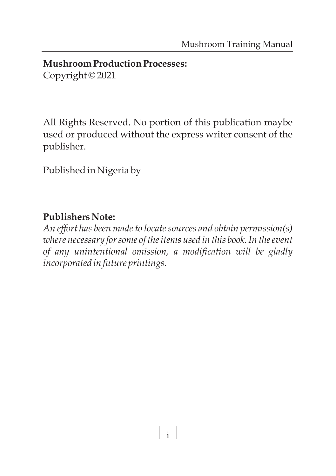#### **Mushroom Production Processes:**  Copyright © 2021

All Rights Reserved. No portion of this publication maybe used or produced without the express writer consent of the publisher.

Published in Nigeria by

## **Publishers Note:**

*An effort has been made to locate sources and obtain permission(s) where necessary for some of the items used in this book. In the event of any unintentional omission, a modification will be gladly incorporated in future printings.*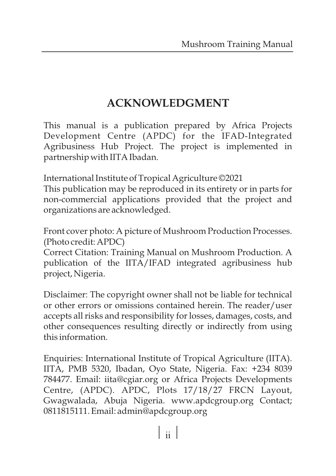# **ACKNOWLEDGMENT**

This manual is a publication prepared by Africa Projects Development Centre (APDC) for the IFAD-Integrated Agribusiness Hub Project. The project is implemented in partnership with IITA Ibadan.

International Institute of Tropical Agriculture ©2021

This publication may be reproduced in its entirety or in parts for non-commercial applications provided that the project and organizations are acknowledged.

Front cover photo: A picture of Mushroom Production Processes. (Photo credit: APDC)

Correct Citation: Training Manual on Mushroom Production. A publication of the IITA/IFAD integrated agribusiness hub project, Nigeria.

Disclaimer: The copyright owner shall not be liable for technical or other errors or omissions contained herein. The reader/user accepts all risks and responsibility for losses, damages, costs, and other consequences resulting directly or indirectly from using this information.

Enquiries: International Institute of Tropical Agriculture (IITA). IITA, PMB 5320, Ibadan, Oyo State, Nigeria. Fax: +234 8039 784477. Email: iita@cgiar.org or Africa Projects Developments Centre, (APDC). APDC, Plots 17/18/27 FRCN Layout, Gwagwalada, Abuja Nigeria. www.apdcgroup.org Contact; 0811815111. Email: admin@apdcgroup.org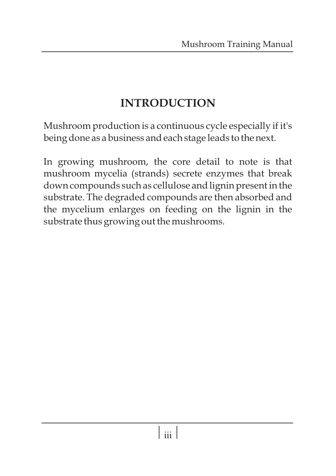# **INTRODUCTION**

Mushroom production is a continuous cycle especially if it's being done as a business and each stage leads to the next.

In growing mushroom, the core detail to note is that mushroom mycelia (strands) secrete enzymes that break down compounds such as cellulose and lignin present in the substrate. The degraded compounds are then absorbed and the mycelium enlarges on feeding on the lignin in the substrate thus growing out the mushrooms.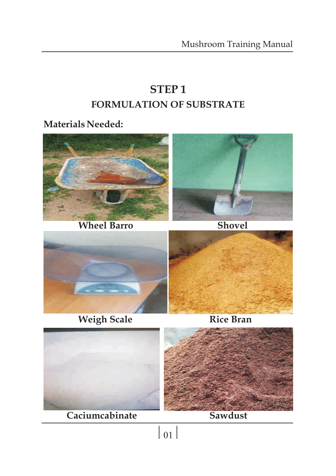# **STEP 1 FORMULATION OF SUBSTRATE**

**Materials Needed:**



**Weigh Scale Rice Bran** 





 $|_{01}|$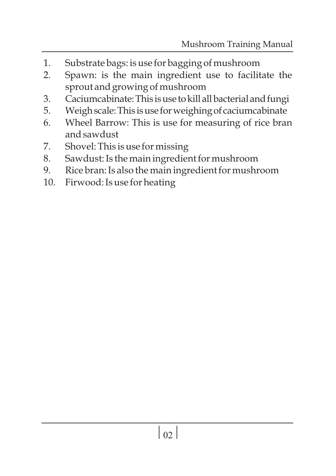- 1. Substrate bags: is use for bagging of mushroom
- 2. Spawn: is the main ingredient use to facilitate the sprout and growing of mushroom
- 3. Caciumcabinate: This is use to kill all bacterial and fungi
- 5. Weighscale:This isuse forweighingof caciumcabinate
- 6. Wheel Barrow: This is use for measuring of rice bran and sawdust
- 7. Shovel: This is use for missing
- 8. Sawdust: Is the main ingredient for mushroom
- 9. Rice bran: Is also the main ingredient for mushroom
- 10. Firwood: Is use for heating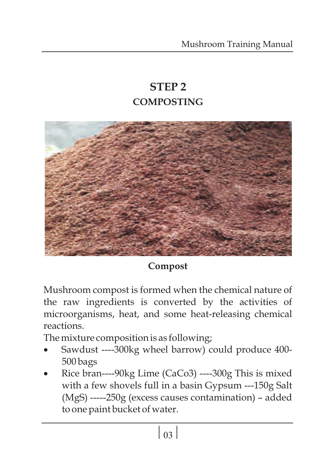# **STEP 2 COMPOSTING**



## **Compost**

Mushroom compost is formed when the chemical nature of the raw ingredients is converted by the activities of microorganisms, heat, and some heat-releasing chemical reactions.

- ·The mixture composition is as following; Sawdust ----300kg wheel barrow) could produce 400-
- ·500 bags Rice bran----90kg Lime (CaCo3) ----300g This is mixed with a few shovels full in a basin Gypsum ---150g Salt (MgS) -----250g (excess causes contamination) – added to one paint bucket of water.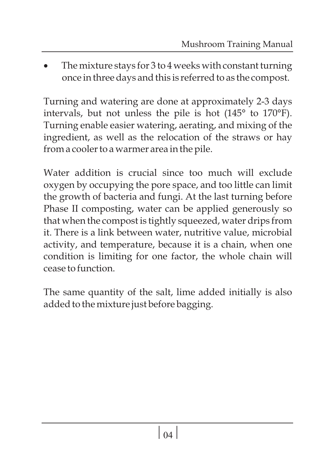The mixture stays for  $3$  to  $4$  weeks with constant turning once in three days and this is referred to as the compost.

Turning and watering are done at approximately 2-3 days intervals, but not unless the pile is hot (145° to 170°F). Turning enable easier watering, aerating, and mixing of the ingredient, as well as the relocation of the straws or hay from a cooler to a warmer area in the pile.

Water addition is crucial since too much will exclude oxygen by occupying the pore space, and too little can limit the growth of bacteria and fungi. At the last turning before Phase II composting, water can be applied generously so that when the compost is tightly squeezed, water drips from it. There is a link between water, nutritive value, microbial activity, and temperature, because it is a chain, when one condition is limiting for one factor, the whole chain will cease to function.

The same quantity of the salt, lime added initially is also added to the mixture just before bagging.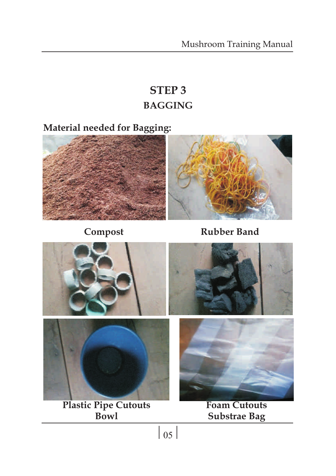# **STEP 3 BAGGING**

**Material needed for Bagging:**



**Compost Rubber Band**

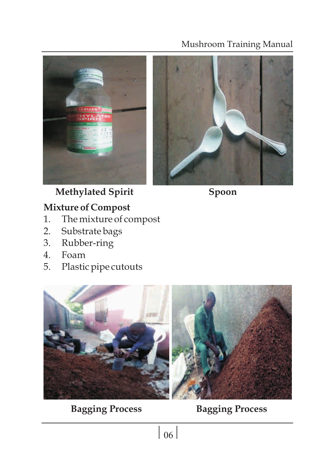



**Methylated Spirit Spoon**

# **Mixture of Compost**<br>1. The mixture of co

- 1. The mixture of compost<br>2. Substrate bags
- Substrate bags
- 3. Rubber-ring
- 4. Foam<br>5. Plastic
- Plastic pipe cutouts



**Bagging Process Bagging Process**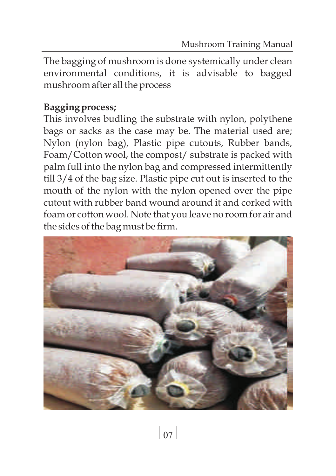The bagging of mushroom is done systemically under clean environmental conditions, it is advisable to bagged mushroom after all the process

# **Bagging process;**

This involves budling the substrate with nylon, polythene bags or sacks as the case may be. The material used are; Nylon (nylon bag), Plastic pipe cutouts, Rubber bands, Foam/Cotton wool, the compost/ substrate is packed with palm full into the nylon bag and compressed intermittently till 3/4 of the bag size. Plastic pipe cut out is inserted to the mouth of the nylon with the nylon opened over the pipe cutout with rubber band wound around it and corked with foam or cotton wool. Note that you leave no room for air and the sides of the bag must be firm.

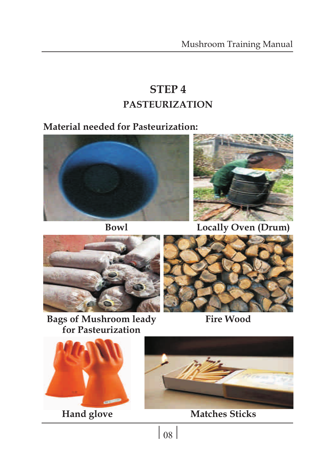# **STEP 4 PASTEURIZATION**

## **Material needed for Pasteurization:**





**Bowl Locally Oven (Drum)**



**Bags of Mushroom leady for Pasteurization**



**Fire Wood**





**Hand glove Matches Sticks**

 $\vert$  08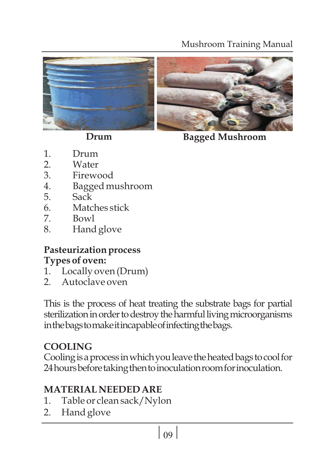



**Drum Bagged Mushroom**

- 1. Drum<br>2. Water
- 2. Water<br>3. Firewo
- 3. Firewood
- 4. Bagged mushroom
- 5. Sack
- 6. Matches stick
- 7. Bowl
- 8. Hand glove

## **Pasteurization process Types of oven:**

- 1. Locally oven (Drum)
- 2. Autoclave oven

This is the process of heat treating the substrate bags for partial sterilization in order to destroy the harmful living microorganisms inthebagstomakeitincapableofinfectingthebags.

# **COOLING**

Cooling is a process in which you leave the heated bags to cool for 24 hours before taking then to inoculation room for inoculation.

# **MATERIAL NEEDED ARE**

- 1. Table or clean sack/Nylon
- 2. Hand glove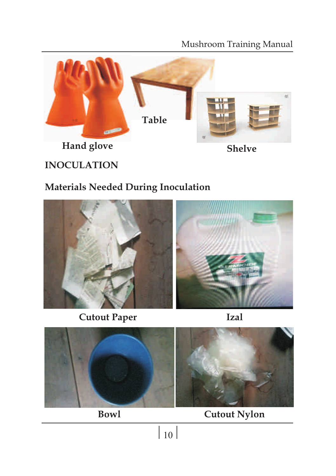

# **INOCULATION**

## **Materials Needed During Inoculation**



**Cutout Paper Izal**





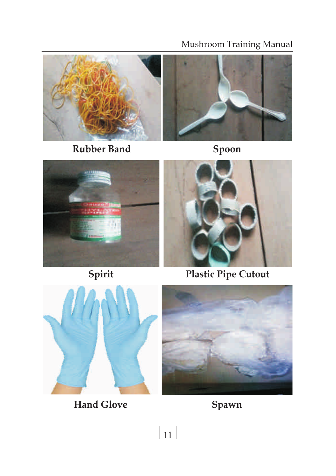

**Rubber Band Spoon**







**Spirit Plastic Pipe Cutout**



**Hand Glove Spawn**

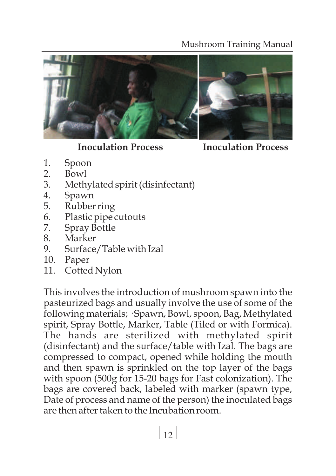

**Inoculation Process Inoculation Process**

- 1. Spoon<br>2. Bowl
- 2. Bowl<br>3. Meth
- 3. Methylated spirit (disinfectant)
- 4. Spawn
- 
- 5. Rubber ring<br>6. Plastic pipe 6. Plastic pipe cutouts<br>7. Spray Bottle
- Spray Bottle
- 8. Marker
- 9. Surface/Table with Izal
- 10. Paper
- 11. Cotted Nylon

This involves the introduction of mushroom spawn into the pasteurized bags and usually involve the use of some of the following materials; · Spawn, Bowl, spoon, Bag, Methylated spirit, Spray Bottle, Marker, Table (Tiled or with Formica). The hands are sterilized with methylated spirit (disinfectant) and the surface/table with Izal. The bags are compressed to compact, opened while holding the mouth and then spawn is sprinkled on the top layer of the bags with spoon (500g for 15-20 bags for Fast colonization). The bags are covered back, labeled with marker (spawn type, Date of process and name of the person) the inoculated bags are then after taken to the Incubation room.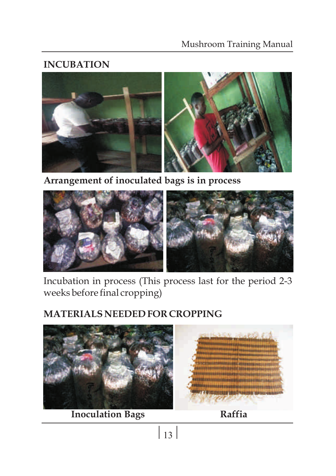## **INCUBATION**



**Arrangement of inoculated bags is in process**



Incubation in process (This process last for the period 2-3 weeks before final cropping)

# **MATERIALS NEEDED FOR CROPPING**



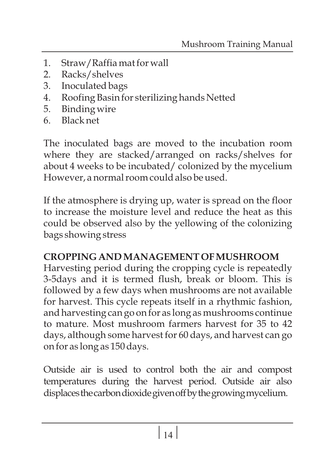- 1. Straw/Raffia mat for wall
- 2. Racks/shelves
- 3. Inoculated bags
- 4. Roofing Basin for sterilizing hands Netted
- 5. Binding wire
- 6. Black net

The inoculated bags are moved to the incubation room where they are stacked/arranged on racks/shelves for about 4 weeks to be incubated/ colonized by the mycelium However, a normal room could also be used.

If the atmosphere is drying up, water is spread on the floor to increase the moisture level and reduce the heat as this could be observed also by the yellowing of the colonizing bags showing stress

## **CROPPING AND MANAGEMENT OF MUSHROOM**

Harvesting period during the cropping cycle is repeatedly 3-5days and it is termed flush, break or bloom. This is followed by a few days when mushrooms are not available for harvest. This cycle repeats itself in a rhythmic fashion, and harvesting can go on for as long as mushrooms continue to mature. Most mushroom farmers harvest for 35 to 42 days, although some harvest for 60 days, and harvest can go on for as long as 150 days.

Outside air is used to control both the air and compost temperatures during the harvest period. Outside air also displacesthecarbondioxidegivenoffbythegrowingmycelium.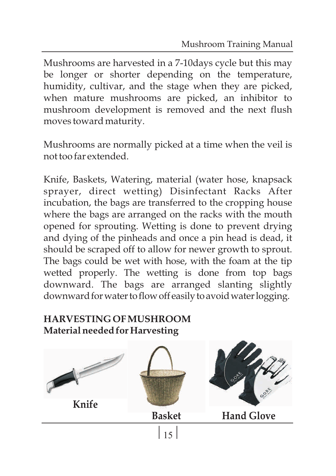Mushrooms are harvested in a 7-10days cycle but this may be longer or shorter depending on the temperature, humidity, cultivar, and the stage when they are picked, when mature mushrooms are picked, an inhibitor to mushroom development is removed and the next flush moves toward maturity.

Mushrooms are normally picked at a time when the veil is not too far extended.

Knife, Baskets, Watering, material (water hose, knapsack sprayer, direct wetting) Disinfectant Racks After incubation, the bags are transferred to the cropping house where the bags are arranged on the racks with the mouth opened for sprouting. Wetting is done to prevent drying and dying of the pinheads and once a pin head is dead, it should be scraped off to allow for newer growth to sprout. The bags could be wet with hose, with the foam at the tip wetted properly. The wetting is done from top bags downward. The bags are arranged slanting slightly downward for water to flow off easily to avoid water logging.

## **HARVESTING OF MUSHROOM Material needed for Harvesting**

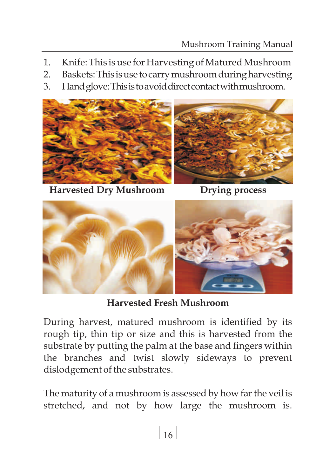- 1. Knife: This is use for Harvesting of Matured Mushroom
- 2. Baskets:This isuse tocarrymushroomduringharvesting
- 3. Handglove:Thisistoavoiddirectcontactwithmushroom.



**Harvested Dry Mushroom Drying process**





**Harvested Fresh Mushroom**

During harvest, matured mushroom is identified by its rough tip, thin tip or size and this is harvested from the substrate by putting the palm at the base and fingers within the branches and twist slowly sideways to prevent dislodgement of the substrates.

The maturity of a mushroom is assessed by how farthe veil is stretched, and not by how large the mushroom is.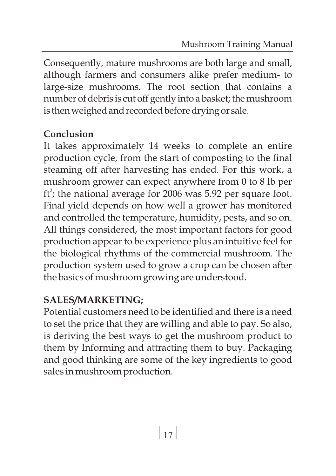Consequently, mature mushrooms are both large and small, although farmers and consumers alike prefer medium- to large-size mushrooms. The root section that contains a number of debris is cut off gently into a basket; the mushroom is then weighed and recorded before drying or sale.

# **Conclusion**

It takes approximately 14 weeks to complete an entire production cycle, from the start of composting to the final steaming off after harvesting has ended. For this work, a mushroom grower can expect anywhere from 0 to 8 lb per  $\text{ft}^2$ ; the national average for 2006 was 5.92 per square foot. Final yield depends on how well a grower has monitored and controlled the temperature, humidity, pests, and so on. All things considered, the most important factors for good production appear to be experience plus an intuitive feel for the biological rhythms of the commercial mushroom. The production system used to grow a crop can be chosen after the basics of mushroom growing are understood.

# **SALES/MARKETING;**

Potential customers need to be identified and there is a need to set the price that they are willing and able to pay. So also, is deriving the best ways to get the mushroom product to them by Informing and attracting them to buy. Packaging and good thinking are some of the key ingredients to good sales in mushroom production.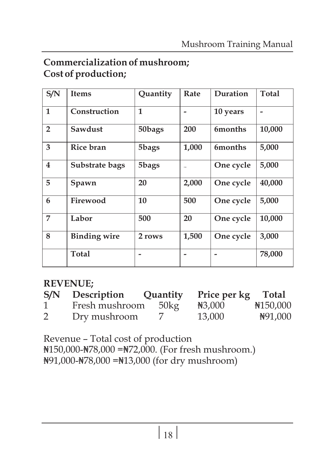# **Commercialization of mushroom; Cost of production;**

| S/N                     | <b>Items</b>        | Quantity | Rate           | Duration       | Total  |
|-------------------------|---------------------|----------|----------------|----------------|--------|
| $\mathbf{1}$            | Construction        | 1        |                | 10 years       |        |
| $\overline{2}$          | Sawdust             | 50bags   | 200            | 6months        | 10,000 |
| 3                       | Rice bran           | 5bags    | 1,000          | <b>6months</b> | 5,000  |
| $\overline{\mathbf{4}}$ | Substrate bags      | 5bags    | $rac{1}{1000}$ | One cycle      | 5,000  |
| 5                       | Spawn               | 20       | 2,000          | One cycle      | 40,000 |
| 6                       | Firewood            | 10       | 500            | One cycle      | 5,000  |
| 7                       | Labor               | 500      | 20             | One cycle      | 10,000 |
| 8                       | <b>Binding wire</b> | 2 rows   | 1,500          | One cycle      | 3,000  |
|                         | Total               |          |                |                | 78,000 |

## **REVENUE;**

| S/N | Description    | Quantity      | Price per kg Total |           |
|-----|----------------|---------------|--------------------|-----------|
| 1   | Fresh mushroom | $50\text{kg}$ | $\text{H}3,000$    | ¥150,000  |
| 2   | Dry mushroom   |               | 13,000             | New 1,000 |

Revenue – Total cost of production

 $\frac{1}{150,000-\frac{1}{178,000} = \frac{1}{172,000}}$ . (For fresh mushroom.) ? 91,000-? 78,000 =? 13,000 (for dry mushroom)